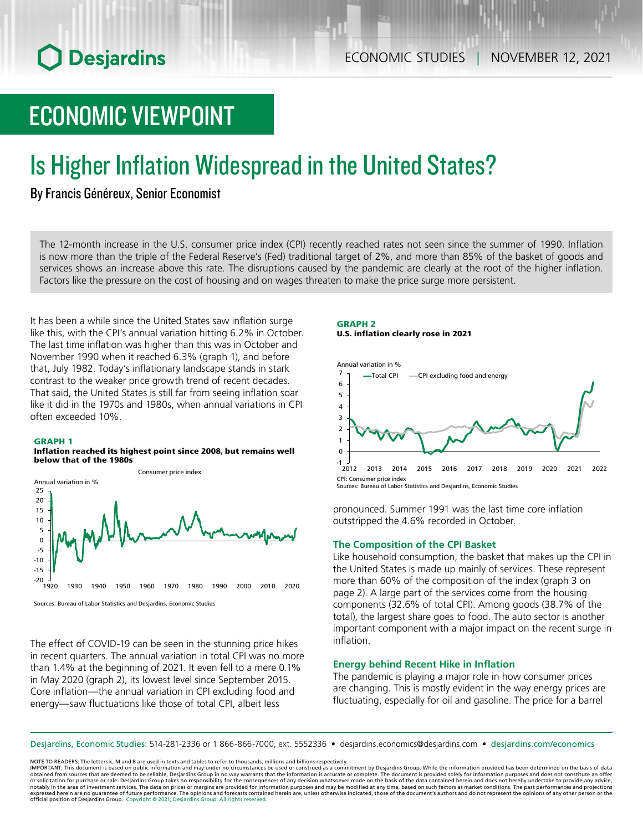# ECONOMIC VIEWPOINT

# Is Higher Inflation Widespread in the United States?

## By Francis Généreux, Senior Economist

The 12‑month increase in the U.S. consumer price index (CPI) recently reached rates not seen since the summer of 1990. Inflation is now more than the triple of the Federal Reserve's (Fed) traditional target of 2%, and more than 85% of the basket of goods and services shows an increase above this rate. The disruptions caused by the pandemic are clearly at the root of the higher inflation. Factors like the pressure on the cost of housing and on wages threaten to make the price surge more persistent.

It has been a while since the United States saw inflation surge like this, with the CPI's annual variation hitting 6.2% in October. The last time inflation was higher than this was in October and November 1990 when it reached 6.3% (graph 1), and before that, July 1982. Today's inflationary landscape stands in stark contrast to the weaker price growth trend of recent decades. That said, the United States is still far from seeing inflation soar like it did in the 1970s and 1980s, when annual variations in CPI often exceeded 10%.

## GRAPH 1

#### Inflation reached its highest point since 2008, but remains well below that of the 1980s



Sources: Bureau of Labor Statistics and Desjardins, Economic Studies

The effect of COVID-19 can be seen in the stunning price hikes in recent quarters. The annual variation in total CPI was no more than 1.4% at the beginning of 2021. It even fell to a mere 0.1% in May 2020 (graph 2), its lowest level since September 2015. Core inflation—the annual variation in CPI excluding food and energy—saw fluctuations like those of total CPI, albeit less

## GRAPH 2 U.S. inflation clearly rose in 2021



Sources: Bureau of Labor Statistics and Desjardins, Economic Studies

pronounced. Summer 1991 was the last time core inflation outstripped the 4.6% recorded in October.

## **The Composition of the CPI Basket**

Like household consumption, the basket that makes up the CPI in the United States is made up mainly of services. These represent more than 60% of the composition of the index (graph 3 on page 2). A large part of the services come from the housing components (32.6% of total CPI). Among goods (38.7% of the total), the largest share goes to food. The auto sector is another important component with a major impact on the recent surge in inflation.

## **Energy behind Recent Hike in Inflation**

The pandemic is playing a major role in how consumer prices are changing. This is mostly evident in the way energy prices are fluctuating, especially for oil and gasoline. The price for a barrel

Desjardins, Economic Studies: 514‑281‑2336 or 1 866‑866‑7000, ext. 5552336 • desjardins.economics@desjardins.com • [desjardins.com/economics](http://desjardins.com/economics)

NOTE TO READERS: The letters k, M and B are used in texts and tables to refer to thousands, millions and billions respectively.

IMPORTANT: This document is based on public information and may under no circumstances be used or construed as a commitment by Desjardins Group. While the information provided has been determined on the basis of data obtained from sources that are deemed to be reliable, Desjardins Group in no way warrants that the information is accurate or complete. The document is provided solely for information purposes and does not constitute an of notably in the area of investment services. The data on prices or margins are provided for information purposes and may be modified at any time, based on such factors as market conditions. The past performances and project expressed herein are no guarantee of future performance. The opinions and forecasts contained herein are, unless otherwise indicated, those of the document's authors and do not represent the opinions of any other person or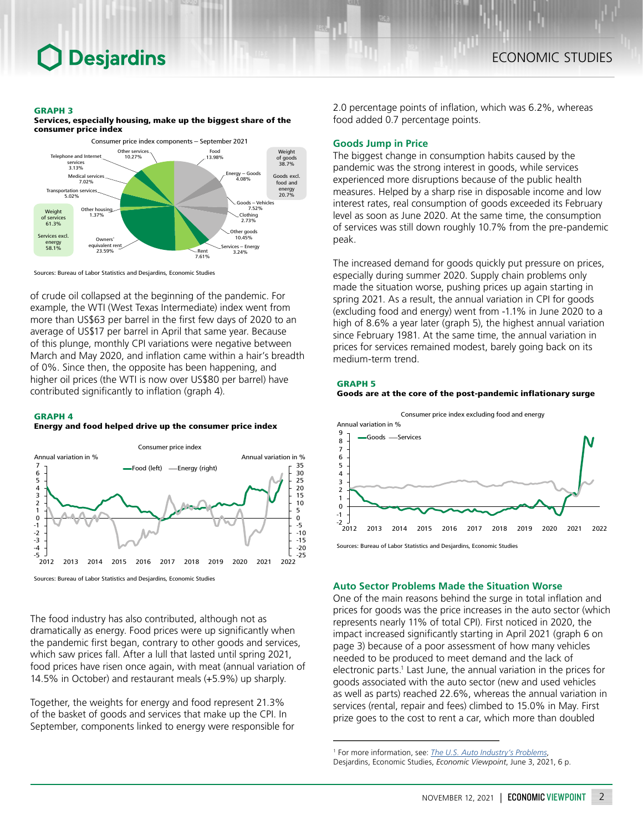## GRAPH 3

Services, especially housing, make up the biggest share of the consumer price index



Sources: Bureau of Labor Statistics and Desjardins, Economic Studies

of crude oil collapsed at the beginning of the pandemic. For example, the WTI (West Texas Intermediate) index went from more than US\$63 per barrel in the first few days of 2020 to an average of US\$17 per barrel in April that same year. Because of this plunge, monthly CPI variations were negative between March and May 2020, and inflation came within a hair's breadth of 0%. Since then, the opposite has been happening, and higher oil prices (the WTI is now over US\$80 per barrel) have contributed significantly to inflation (graph 4).

## GRAPH 4

## Energy and food helped drive up the consumer price index



Sources: Bureau of Labor Statistics and Desjardins, Economic Studies

The food industry has also contributed, although not as dramatically as energy. Food prices were up significantly when the pandemic first began, contrary to other goods and services, which saw prices fall. After a lull that lasted until spring 2021, food prices have risen once again, with meat (annual variation of 14.5% in October) and restaurant meals (+5.9%) up sharply.

Together, the weights for energy and food represent 21.3% of the basket of goods and services that make up the CPI. In September, components linked to energy were responsible for

2.0 percentage points of inflation, which was 6.2%, whereas food added 0.7 percentage points.

## **Goods Jump in Price**

The biggest change in consumption habits caused by the pandemic was the strong interest in goods, while services experienced more disruptions because of the public health measures. Helped by a sharp rise in disposable income and low interest rates, real consumption of goods exceeded its February level as soon as June 2020. At the same time, the consumption of services was still down roughly 10.7% from the pre-pandemic peak.

The increased demand for goods quickly put pressure on prices, especially during summer 2020. Supply chain problems only made the situation worse, pushing prices up again starting in spring 2021. As a result, the annual variation in CPI for goods (excluding food and energy) went from -1.1% in June 2020 to a high of 8.6% a year later (graph 5), the highest annual variation since February 1981. At the same time, the annual variation in prices for services remained modest, barely going back on its medium-term trend.

#### GRAPH 5

## Goods are at the core of the post-pandemic inflationary surge



## **Auto Sector Problems Made the Situation Worse**

One of the main reasons behind the surge in total inflation and prices for goods was the price increases in the auto sector (which represents nearly 11% of total CPI). First noticed in 2020, the impact increased significantly starting in April 2021 (graph 6 on page 3) because of a poor assessment of how many vehicles needed to be produced to meet demand and the lack of electronic parts.<sup>1</sup> Last June, the annual variation in the prices for goods associated with the auto sector (new and used vehicles as well as parts) reached 22.6%, whereas the annual variation in services (rental, repair and fees) climbed to 15.0% in May. First prize goes to the cost to rent a car, which more than doubled

<sup>1</sup> For more information, see: *The U.S. [Auto Industry's Problems](https://www.desjardins.com/ressources/pdf/pv210603-e.pdf?resVer=1622738075000)*, Desjardins, Economic Studies, *Economic Viewpoint*, June 3, 2021, 6 p.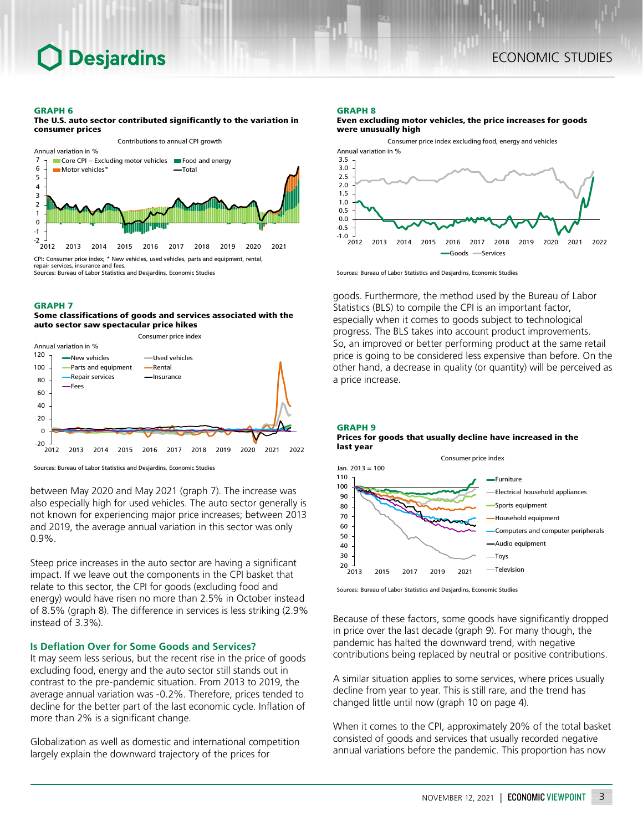## **Desjardins**

#### GRAPH 6 The U.S. auto sector contributed significantly to the variation in



Sources: Bureau of Labor Statistics and Desjardins, Economic Studies

#### GRAPH 7

## Some classifications of goods and services associated with the auto sector saw spectacular price hikes



Sources: Bureau of Labor Statistics and Desjardins, Economic Studies

between May 2020 and May 2021 (graph 7). The increase was also especially high for used vehicles. The auto sector generally is not known for experiencing major price increases; between 2013 and 2019, the average annual variation in this sector was only 0.9%.

Steep price increases in the auto sector are having a significant impact. If we leave out the components in the CPI basket that relate to this sector, the CPI for goods (excluding food and energy) would have risen no more than 2.5% in October instead of 8.5% (graph 8). The difference in services is less striking (2.9% instead of 3.3%).

## **Is Deflation Over for Some Goods and Services?**

It may seem less serious, but the recent rise in the price of goods excluding food, energy and the auto sector still stands out in contrast to the pre-pandemic situation. From 2013 to 2019, the average annual variation was -0.2%. Therefore, prices tended to decline for the better part of the last economic cycle. Inflation of more than 2% is a significant change.

Globalization as well as domestic and international competition largely explain the downward trajectory of the prices for

#### GRAPH 8





Sources: Bureau of Labor Statistics and Desjardins, Economic Studies

goods. Furthermore, the method used by the Bureau of Labor Statistics (BLS) to compile the CPI is an important factor, especially when it comes to goods subject to technological progress. The BLS takes into account product improvements. So, an improved or better performing product at the same retail price is going to be considered less expensive than before. On the other hand, a decrease in quality (or quantity) will be perceived as a price increase.

## GRAPH 9 Prices for goods that usually decline have increased in the last year



Sources: Bureau of Labor Statistics and Desjardins, Economic Studies

Because of these factors, some goods have significantly dropped in price over the last decade (graph 9). For many though, the pandemic has halted the downward trend, with negative contributions being replaced by neutral or positive contributions.

A similar situation applies to some services, where prices usually decline from year to year. This is still rare, and the trend has changed little until now (graph 10 on page 4).

When it comes to the CPI, approximately 20% of the total basket consisted of goods and services that usually recorded negative annual variations before the pandemic. This proportion has now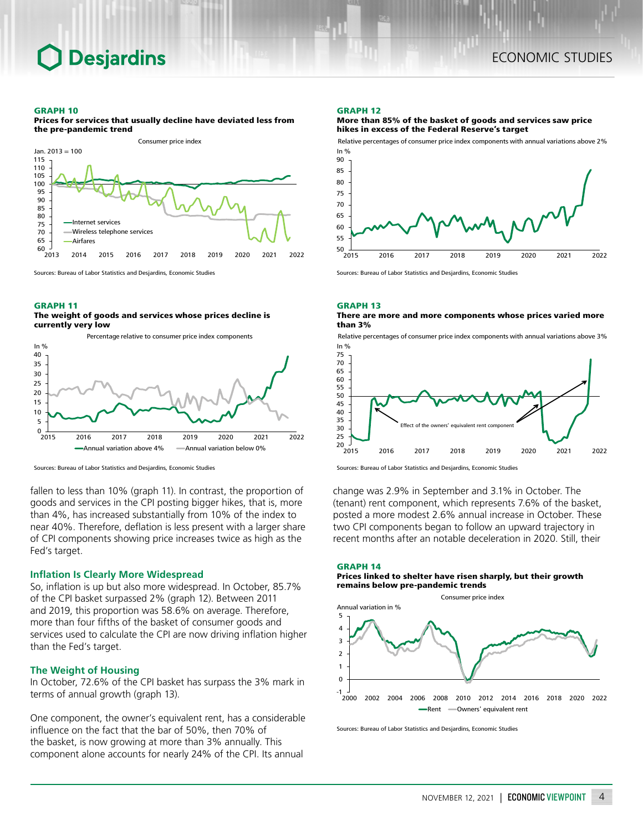**Desjardins** 

#### GRAPH 10



Prices for services that usually decline have deviated less from the pre-pandemic trend

Sources: Bureau of Labor Statistics and Desjardins, Economic Studies

## GRAPH 11

## The weight of goods and services whose prices decline is currently very low



Sources: Bureau of Labor Statistics and Desjardins, Economic Studies

fallen to less than 10% (graph 11). In contrast, the proportion of goods and services in the CPI posting bigger hikes, that is, more than 4%, has increased substantially from 10% of the index to near 40%. Therefore, deflation is less present with a larger share of CPI components showing price increases twice as high as the Fed's target.

## **Inflation Is Clearly More Widespread**

So, inflation is up but also more widespread. In October, 85.7% of the CPI basket surpassed 2% (graph 12). Between 2011 and 2019, this proportion was 58.6% on average. Therefore, more than four fifths of the basket of consumer goods and services used to calculate the CPI are now driving inflation higher than the Fed's target.

## **The Weight of Housing**

In October, 72.6% of the CPI basket has surpass the 3% mark in terms of annual growth (graph 13).

One component, the owner's equivalent rent, has a considerable influence on the fact that the bar of 50%, then 70% of the basket, is now growing at more than 3% annually. This component alone accounts for nearly 24% of the CPI. Its annual

## GRAPH 12

### More than 85% of the basket of goods and services saw price hikes in excess of the Federal Reserve's target

Relative percentages of consumer price index components with annual variations above 2%



Sources: Bureau of Labor Statistics and Desjardins, Economic Studies

#### GRAPH 13 There are more and more components whose prices varied more than 3%

Relative percentages of consumer price index components with annual variations above 3% In %



Sources: Bureau of Labor Statistics and Desjardins, Economic Studies

change was 2.9% in September and 3.1% in October. The (tenant) rent component, which represents 7.6% of the basket, posted a more modest 2.6% annual increase in October. These two CPI components began to follow an upward trajectory in recent months after an notable deceleration in 2020. Still, their



Sources: Bureau of Labor Statistics and Desjardins, Economic Studies